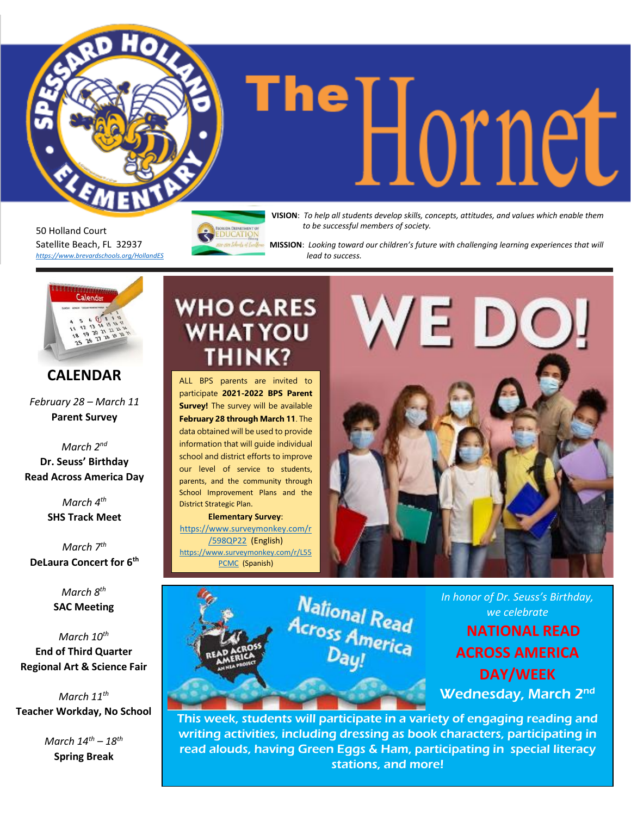50 Holland Court Satellite Beach, FL 32937 *<https://www.brevardschools.org/HollandES>* **DUCATION** 

**The Help all students develop skills, concepts, attitudes, and values which enable them** *to be successful members of society.*

 **MISSION**: *Looking toward our children's future with challenging learning experiences that will lead to success.*

#### **CALENDAR**

*February 28 – March 11* **Parent Survey**

*March 2 nd* **Dr. Seuss' Birthday Read Across America Day**

> *March 4 th* **SHS Track Meet**

*March 7 th* **DeLaura Concert for 6th**

> *March 8 th* **SAC Meeting**

*March 10th* **End of Third Quarter Regional Art & Science Fair**

*March 11th* **Teacher Workday, No School**

> *March 14th – 18th* **Spring Break**

# **WHO CARES WHAT YOU THINK?**

ALL BPS parents are invited to participate **2021-2022 BPS Parent Survey!** The survey will be available **February 28 through March 11**. The data obtained will be used to provide information that will guide individual school and district efforts to improve our level of service to students, parents, and the community through School Improvement Plans and the District Strategic Plan.

**Elementary Survey**: [https://www.surveymonkey.com/r](https://www.surveymonkey.com/r/598QP22) [/598QP22](https://www.surveymonkey.com/r/598QP22) (English) [https://www.surveymonkey.com/r/L55](https://www.surveymonkey.com/r/L55PCMC) [PCMC](https://www.surveymonkey.com/r/L55PCMC) (Spanish)





*In honor of Dr. Seuss's Birthday, we celebrate*

**NATIONAL READ ACROSS AMERICA DAY/WEEK** Wednesday, March 2<sup>nd</sup>

This week, students will participate in a variety of engaging reading and writing activities, including dressing as book characters, participating in read alouds, having Green Eggs & Ham, participating in special literacy stations, and more!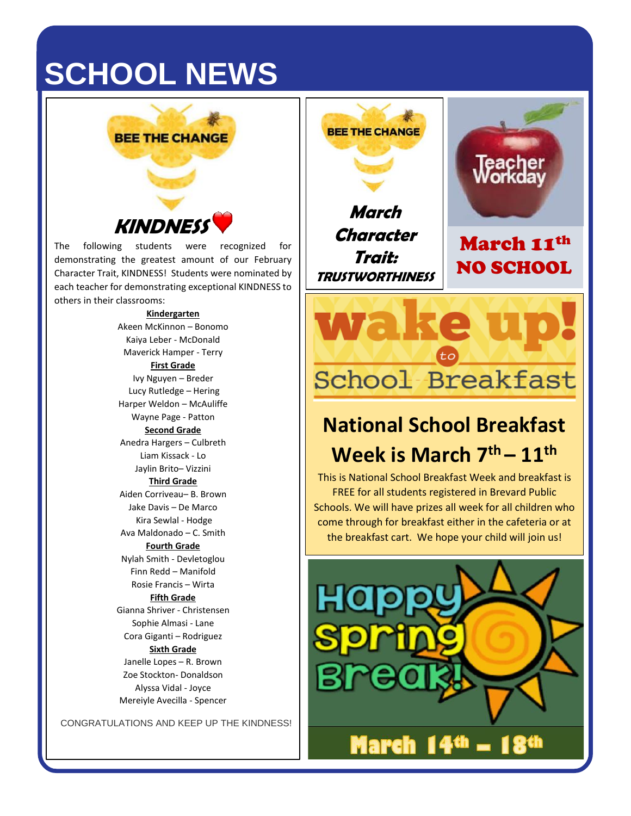# **SCHOOL NEWS**



# **KINDNES**

The following students were recognized for demonstrating the greatest amount of our February Character Trait, KINDNESS! Students were nominated by each teacher for demonstrating exceptional KINDNESS to others in their classrooms:

#### **Kindergarten**

Akeen McKinnon – Bonomo Kaiya Leber - McDonald Maverick Hamper - Terry **First Grade** Ivy Nguyen – Breder Lucy Rutledge – Hering Harper Weldon – McAuliffe Wayne Page - Patton **Second Grade** Anedra Hargers – Culbreth Liam Kissack - Lo Jaylin Brito– Vizzini **Third Grade** Aiden Corriveau– B. Brown Jake Davis – De Marco Kira Sewlal - Hodge Ava Maldonado – C. Smith **Fourth Grade** Nylah Smith - Devletoglou Finn Redd – Manifold Rosie Francis – Wirta **Fifth Grade** Gianna Shriver - Christensen Sophie Almasi - Lane Cora Giganti – Rodriguez **Sixth Grade** Janelle Lopes – R. Brown Zoe Stockton- Donaldson Alyssa Vidal - Joyce Mereiyle Avecilla - Spencer

CONGRATULATIONS AND KEEP UP THE KINDNESS!

**March Character Trait: TRUSTWORTHINESS**

**BEE THE CHANGE** 



March 11th NO SCHOOL

# **National School Breakfast Week is March 7 th – 11th**

School Breakfast

This is National School Breakfast Week and breakfast is FREE for all students registered in Brevard Public Schools. We will have prizes all week for all children who come through for breakfast either in the cafeteria or at the breakfast cart. We hope your child will join us!

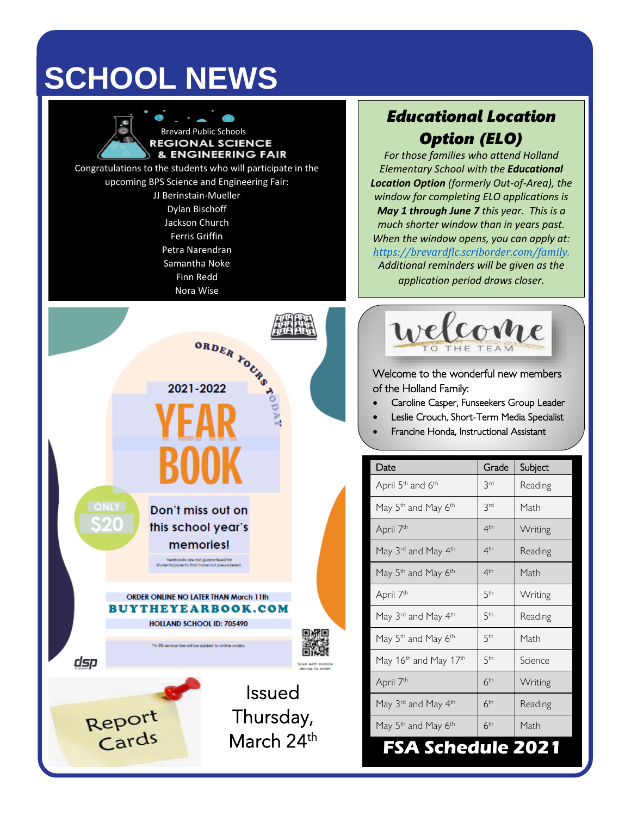# **SCHOOL NEWS**



### *Educational Location Option (ELO)*

*For those families who attend Holland Elementary School with the Educational Location Option (formerly Out-of-Area), the window for completing ELO applications is May 1 through June 7 this year. This is a much shorter window than in years past. When the window opens, you can apply at: [https://brevardflc.scriborder.com/family.](https://brevardflc.scriborder.com/family) Additional reminders will be given as the application period draws closer.*



Welcome to the wonderful new members of the Holland Family:

- Caroline Casper, Funseekers Group Leader
- Leslie Crouch, Short-Term Media Specialist
- Francine Honda, Instructional Assistant

| Date                                          | Grade           | Subject |
|-----------------------------------------------|-----------------|---------|
| April 5 <sup>th</sup> and 6 <sup>th</sup>     | <b>Prd</b>      | Reading |
| May 5 <sup>th</sup> and May 6 <sup>th</sup>   | 3rd             | Math    |
| April 7 <sup>th</sup>                         | 4 <sup>th</sup> | Writing |
| May 3rd and May 4th                           | 4 <sup>th</sup> | Reading |
| May 5 <sup>th</sup> and May 6 <sup>th</sup>   | 4 <sup>th</sup> | Math    |
| April 7 <sup>th</sup>                         | 5th             | Writing |
| May 3 <sup>rd</sup> and May 4 <sup>th</sup>   | 5 <sup>th</sup> | Reading |
| May 5 <sup>th</sup> and May 6 <sup>th</sup>   | 5 <sup>th</sup> | Math    |
| May 16 <sup>th</sup> and May 17 <sup>th</sup> | 5th             | Science |
| April 7 <sup>th</sup>                         | 6 <sup>th</sup> | Writing |
| May 3rd and May 4th                           | 6 <sup>th</sup> | Reading |
| May 5 <sup>th</sup> and May 6 <sup>th</sup>   | 6 <sup>th</sup> | Math    |
| chedule 20<br>A S                             |                 |         |